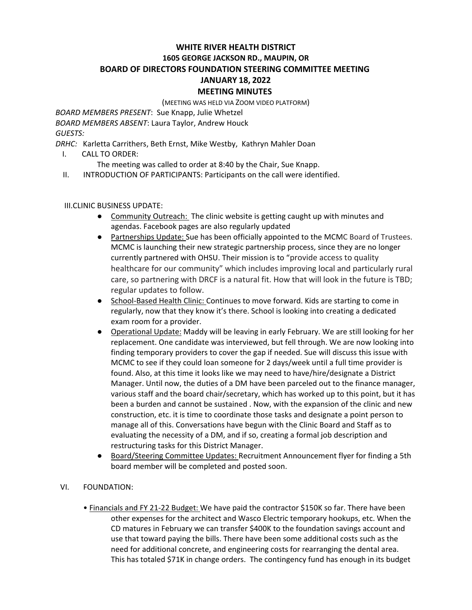#### **WHITE RIVER HEALTH DISTRICT**

**1605 GEORGE JACKSON RD., MAUPIN, OR**

**BOARD OF DIRECTORS FOUNDATION STEERING COMMITTEE MEETING**

# **JANUARY 18, 2022**

## **MEETING MINUTES**

(MEETING WAS HELD VIA ZOOM VIDEO PLATFORM)

*BOARD MEMBERS PRESENT*: Sue Knapp, Julie Whetzel

*BOARD MEMBERS ABSENT*: Laura Taylor, Andrew Houck

*GUESTS:*

*DRHC:* Karletta Carrithers, Beth Ernst, Mike Westby, Kathryn Mahler Doan

- I. CALL TO ORDER:
	- The meeting was called to order at 8:40 by the Chair, Sue Knapp.
- II. INTRODUCTION OF PARTICIPANTS: Participants on the call were identified.

## III.CLINIC BUSINESS UPDATE:

- Community Outreach: The clinic website is getting caught up with minutes and agendas. Facebook pages are also regularly updated
- Partnerships Update: Sue has been officially appointed to the MCMC Board of Trustees. MCMC is launching their new strategic partnership process, since they are no longer currently partnered with OHSU. Their mission is to "provide access to quality healthcare for our community" which includes improving local and particularly rural care, so partnering with DRCF is a natural fit. How that will look in the future is TBD; regular updates to follow.
- School-Based Health Clinic: Continues to move forward. Kids are starting to come in regularly, now that they know it's there. School is looking into creating a dedicated exam room for a provider.
- Operational Update: Maddy will be leaving in early February. We are still looking for her replacement. One candidate was interviewed, but fell through. We are now looking into finding temporary providers to cover the gap if needed. Sue will discuss this issue with MCMC to see if they could loan someone for 2 days/week until a full time provider is found. Also, at this time it looks like we may need to have/hire/designate a District Manager. Until now, the duties of a DM have been parceled out to the finance manager, various staff and the board chair/secretary, which has worked up to this point, but it has been a burden and cannot be sustained . Now, with the expansion of the clinic and new construction, etc. it is time to coordinate those tasks and designate a point person to manage all of this. Conversations have begun with the Clinic Board and Staff as to evaluating the necessity of a DM, and if so, creating a formal job description and restructuring tasks for this District Manager.
- Board/Steering Committee Updates: Recruitment Announcement flyer for finding a 5th board member will be completed and posted soon.

## VI. FOUNDATION:

• Financials and FY 21-22 Budget: We have paid the contractor \$150K so far. There have been other expenses for the architect and Wasco Electric temporary hookups, etc. When the CD matures in February we can transfer \$400K to the foundation savings account and use that toward paying the bills. There have been some additional costs such as the need for additional concrete, and engineering costs for rearranging the dental area. This has totaled \$71K in change orders. The contingency fund has enough in its budget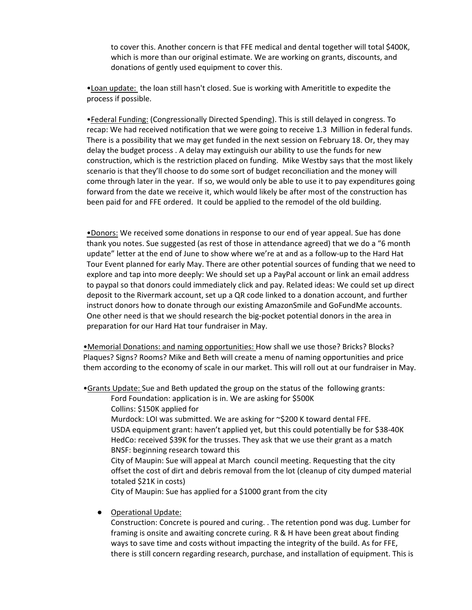to cover this. Another concern is that FFE medical and dental together will total \$400K, which is more than our original estimate. We are working on grants, discounts, and donations of gently used equipment to cover this.

•Loan update: the loan still hasn't closed. Sue is working with Amerititle to expedite the process if possible.

•Federal Funding: (Congressionally Directed Spending). This is still delayed in congress. To recap: We had received notification that we were going to receive 1.3 Million in federal funds. There is a possibility that we may get funded in the next session on February 18. Or, they may delay the budget process . A delay may extinguish our ability to use the funds for new construction, which is the restriction placed on funding. Mike Westby says that the most likely scenario is that they'll choose to do some sort of budget reconciliation and the money will come through later in the year. If so, we would only be able to use it to pay expenditures going forward from the date we receive it, which would likely be after most of the construction has been paid for and FFE ordered. It could be applied to the remodel of the old building.

•Donors: We received some donations in response to our end of year appeal. Sue has done thank you notes. Sue suggested (as rest of those in attendance agreed) that we do a "6 month update" letter at the end of June to show where we're at and as a follow-up to the Hard Hat Tour Event planned for early May. There are other potential sources of funding that we need to explore and tap into more deeply: We should set up a PayPal account or link an email address to paypal so that donors could immediately click and pay. Related ideas: We could set up direct deposit to the Rivermark account, set up a QR code linked to a donation account, and further instruct donors how to donate through our existing AmazonSmile and GoFundMe accounts. One other need is that we should research the big-pocket potential donors in the area in preparation for our Hard Hat tour fundraiser in May.

•Memorial Donations: and naming opportunities: How shall we use those? Bricks? Blocks? Plaques? Signs? Rooms? Mike and Beth will create a menu of naming opportunities and price them according to the economy of scale in our market. This will roll out at our fundraiser in May.

•Grants Update: Sue and Beth updated the group on the status of the following grants:

Ford Foundation: application is in. We are asking for \$500K

Collins: \$150K applied for

Murdock: LOI was submitted. We are asking for ~\$200 K toward dental FFE. USDA equipment grant: haven't applied yet, but this could potentially be for \$38-40K HedCo: received \$39K for the trusses. They ask that we use their grant as a match BNSF: beginning research toward this

City of Maupin: Sue will appeal at March council meeting. Requesting that the city offset the cost of dirt and debris removal from the lot (cleanup of city dumped material totaled \$21K in costs)

City of Maupin: Sue has applied for a \$1000 grant from the city

● Operational Update:

Construction: Concrete is poured and curing. . The retention pond was dug. Lumber for framing is onsite and awaiting concrete curing. R & H have been great about finding ways to save time and costs without impacting the integrity of the build. As for FFE, there is still concern regarding research, purchase, and installation of equipment. This is